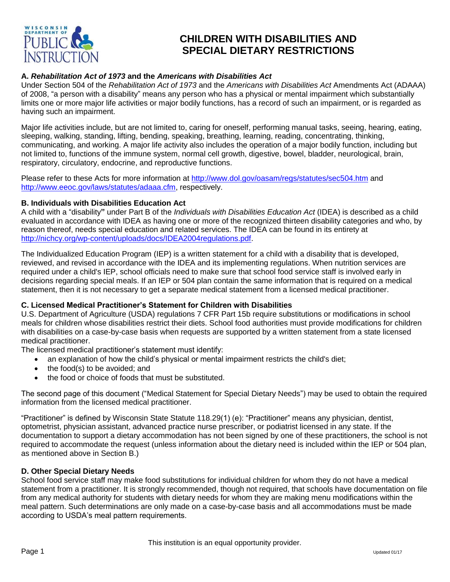

# **CHILDREN WITH DISABILITIES AND SPECIAL DIETARY RESTRICTIONS**

### **A.** *Rehabilitation Act of 1973* **and the** *Americans with Disabilities Act*

Under Section 504 of the *Rehabilitation Act of 1973* and the *Americans with Disabilities Act* Amendments Act (ADAAA) of 2008, "a person with a disability" means any person who has a physical or mental impairment which substantially limits one or more major life activities or major bodily functions, has a record of such an impairment, or is regarded as having such an impairment.

Major life activities include, but are not limited to, caring for oneself, performing manual tasks, seeing, hearing, eating, sleeping, walking, standing, lifting, bending, speaking, breathing, learning, reading, concentrating, thinking, communicating, and working. A major life activity also includes the operation of a major bodily function, including but not limited to, functions of the immune system, normal cell growth, digestive, bowel, bladder, neurological, brain, respiratory, circulatory, endocrine, and reproductive functions.

Please refer to these Acts for more information at<http://www.dol.gov/oasam/regs/statutes/sec504.htm> and [http://www.eeoc.gov/laws/statutes/adaaa.cfm,](http://www.eeoc.gov/laws/statutes/adaaa.cfm) respectively.

#### **B. Individuals with Disabilities Education Act**

A child with a "disability**"** under Part B of the *Individuals with Disabilities Education Act* (IDEA) is described as a child evaluated in accordance with IDEA as having one or more of the recognized thirteen disability categories and who, by reason thereof, needs special education and related services. The IDEA can be found in its entirety at [http://nichcy.org/wp-content/uploads/docs/IDEA2004regulations.pdf.](http://nichcy.org/wp-content/uploads/docs/IDEA2004regulations.pdf)

The Individualized Education Program (IEP) is a written statement for a child with a disability that is developed, reviewed, and revised in accordance with the IDEA and its implementing regulations. When nutrition services are required under a child's IEP, school officials need to make sure that school food service staff is involved early in decisions regarding special meals. If an IEP or 504 plan contain the same information that is required on a medical statement, then it is not necessary to get a separate medical statement from a licensed medical practitioner.

#### **C. Licensed Medical Practitioner's Statement for Children with Disabilities**

U.S. Department of Agriculture (USDA) regulations 7 CFR Part 15b require substitutions or modifications in school meals for children whose disabilities restrict their diets. School food authorities must provide modifications for children with disabilities on a case-by-case basis when requests are supported by a written statement from a state licensed medical practitioner.

The licensed medical practitioner's statement must identify:

- an explanation of how the child's physical or mental impairment restricts the child's diet;
	- the food(s) to be avoided; and
	- the food or choice of foods that must be substituted.

The second page of this document ("Medical Statement for Special Dietary Needs") may be used to obtain the required information from the licensed medical practitioner.

"Practitioner" is defined by Wisconsin State Statute 118.29(1) (e): "Practitioner" means any physician, dentist, optometrist, physician assistant, advanced practice nurse prescriber, or podiatrist licensed in any state. If the documentation to support a dietary accommodation has not been signed by one of these practitioners, the school is not required to accommodate the request (unless information about the dietary need is included within the IEP or 504 plan, as mentioned above in Section B.)

#### **D. Other Special Dietary Needs**

School food service staff may make food substitutions for individual children for whom they do not have a medical statement from a practitioner. It is strongly recommended, though not required, that schools have documentation on file from any medical authority for students with dietary needs for whom they are making menu modifications within the meal pattern. Such determinations are only made on a case-by-case basis and all accommodations must be made according to USDA's meal pattern requirements.